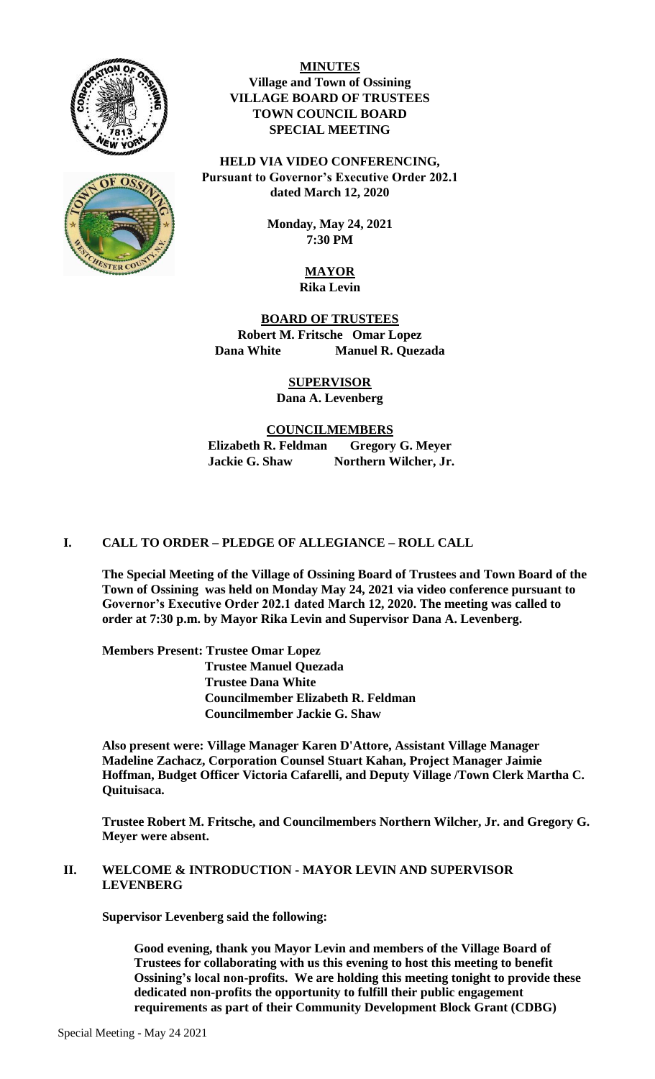



**MINUTES Village and Town of Ossining VILLAGE BOARD OF TRUSTEES TOWN COUNCIL BOARD SPECIAL MEETING**

**HELD VIA VIDEO CONFERENCING, Pursuant to Governor's Executive Order 202.1 dated March 12, 2020**

> **Monday, May 24, 2021 7:30 PM**

### **MAYOR Rika Levin**

**BOARD OF TRUSTEES Robert M. Fritsche Omar Lopez Dana White Manuel R. Quezada**

## **SUPERVISOR**

# **Dana A. Levenberg**

**COUNCILMEMBERS Elizabeth R. Feldman Gregory G. Meyer** Jackie G. Shaw Northern Wilcher, Jr.

## **I. CALL TO ORDER – PLEDGE OF ALLEGIANCE – ROLL CALL**

**The Special Meeting of the Village of Ossining Board of Trustees and Town Board of the Town of Ossining was held on Monday May 24, 2021 via video conference pursuant to Governor's Executive Order 202.1 dated March 12, 2020. The meeting was called to order at 7:30 p.m. by Mayor Rika Levin and Supervisor Dana A. Levenberg.**

**Members Present: Trustee Omar Lopez Trustee Manuel Quezada Trustee Dana White Councilmember Elizabeth R. Feldman Councilmember Jackie G. Shaw** 

**Also present were: Village Manager Karen D'Attore, Assistant Village Manager Madeline Zachacz, Corporation Counsel Stuart Kahan, Project Manager Jaimie Hoffman, Budget Officer Victoria Cafarelli, and Deputy Village /Town Clerk Martha C. Quituisaca.** 

**Trustee Robert M. Fritsche, and Councilmembers Northern Wilcher, Jr. and Gregory G. Meyer were absent.**

#### **II. WELCOME & INTRODUCTION - MAYOR LEVIN AND SUPERVISOR LEVENBERG**

**Supervisor Levenberg said the following:** 

**Good evening, thank you Mayor Levin and members of the Village Board of Trustees for collaborating with us this evening to host this meeting to benefit Ossining's local non-profits. We are holding this meeting tonight to provide these dedicated non-profits the opportunity to fulfill their public engagement requirements as part of their Community Development Block Grant (CDBG)**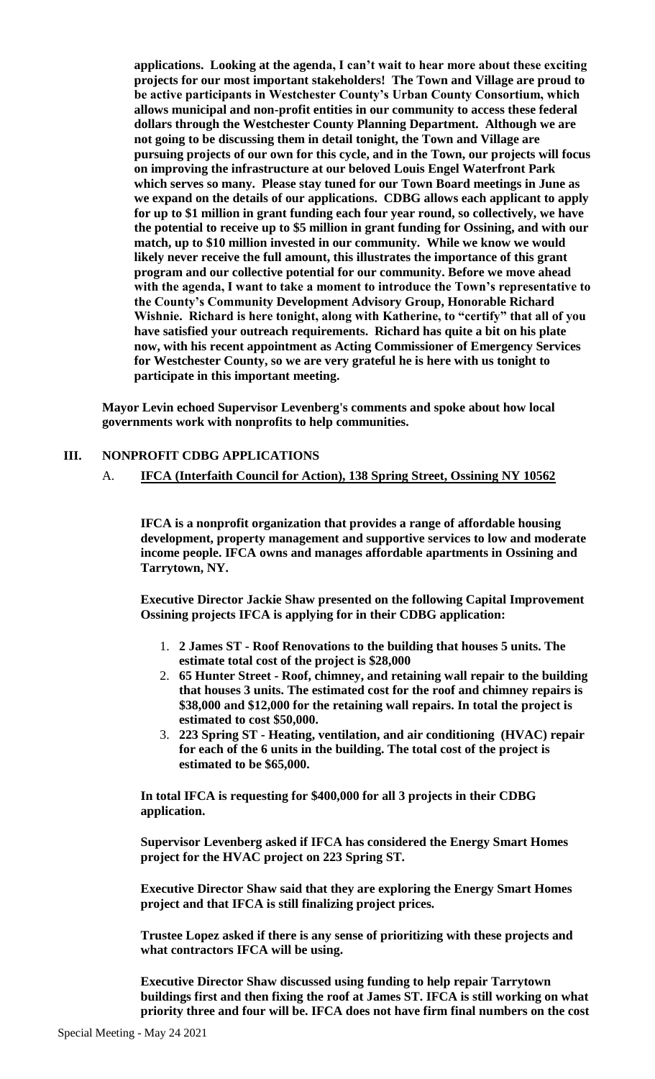**applications. Looking at the agenda, I can't wait to hear more about these exciting projects for our most important stakeholders! The Town and Village are proud to be active participants in Westchester County's Urban County Consortium, which allows municipal and non-profit entities in our community to access these federal dollars through the Westchester County Planning Department. Although we are not going to be discussing them in detail tonight, the Town and Village are pursuing projects of our own for this cycle, and in the Town, our projects will focus on improving the infrastructure at our beloved Louis Engel Waterfront Park which serves so many. Please stay tuned for our Town Board meetings in June as we expand on the details of our applications. CDBG allows each applicant to apply for up to \$1 million in grant funding each four year round, so collectively, we have the potential to receive up to \$5 million in grant funding for Ossining, and with our match, up to \$10 million invested in our community. While we know we would likely never receive the full amount, this illustrates the importance of this grant program and our collective potential for our community. Before we move ahead with the agenda, I want to take a moment to introduce the Town's representative to the County's Community Development Advisory Group, Honorable Richard Wishnie. Richard is here tonight, along with Katherine, to "certify" that all of you have satisfied your outreach requirements. Richard has quite a bit on his plate now, with his recent appointment as Acting Commissioner of Emergency Services for Westchester County, so we are very grateful he is here with us tonight to participate in this important meeting.** 

**Mayor Levin echoed Supervisor Levenberg's comments and spoke about how local governments work with nonprofits to help communities.** 

#### **III. NONPROFIT CDBG APPLICATIONS**

A. **IFCA (Interfaith Council for Action), 138 Spring Street, Ossining NY 10562**

**IFCA is a nonprofit organization that provides a range of affordable housing development, property management and supportive services to low and moderate income people. IFCA owns and manages affordable apartments in Ossining and Tarrytown, NY.**

**Executive Director Jackie Shaw presented on the following Capital Improvement Ossining projects IFCA is applying for in their CDBG application:** 

- 1. **2 James ST - Roof Renovations to the building that houses 5 units. The estimate total cost of the project is \$28,000**
- 2. **65 Hunter Street - Roof, chimney, and retaining wall repair to the building that houses 3 units. The estimated cost for the roof and chimney repairs is \$38,000 and \$12,000 for the retaining wall repairs. In total the project is estimated to cost \$50,000.**
- 3. **223 Spring ST - Heating, ventilation, and air conditioning (HVAC) repair for each of the 6 units in the building. The total cost of the project is estimated to be \$65,000.**

**In total IFCA is requesting for \$400,000 for all 3 projects in their CDBG application.** 

**Supervisor Levenberg asked if IFCA has considered the Energy Smart Homes project for the HVAC project on 223 Spring ST.** 

**Executive Director Shaw said that they are exploring the Energy Smart Homes project and that IFCA is still finalizing project prices.** 

**Trustee Lopez asked if there is any sense of prioritizing with these projects and what contractors IFCA will be using.**

**Executive Director Shaw discussed using funding to help repair Tarrytown buildings first and then fixing the roof at James ST. IFCA is still working on what priority three and four will be. IFCA does not have firm final numbers on the cost**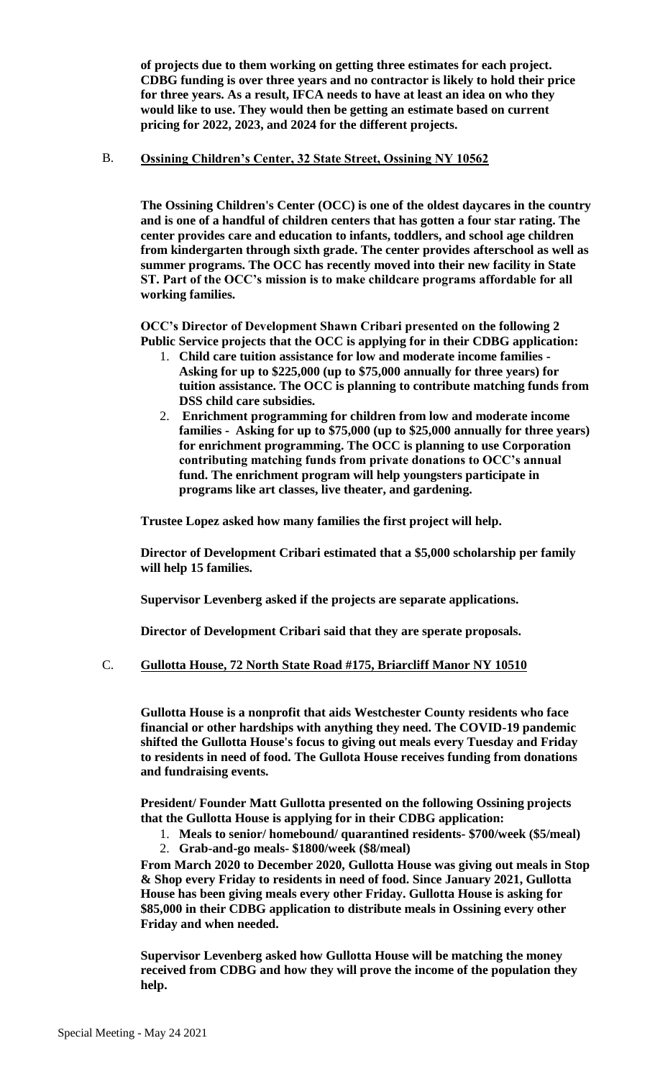**of projects due to them working on getting three estimates for each project. CDBG funding is over three years and no contractor is likely to hold their price for three years. As a result, IFCA needs to have at least an idea on who they would like to use. They would then be getting an estimate based on current pricing for 2022, 2023, and 2024 for the different projects.**

#### B. **Ossining Children's Center, 32 State Street, Ossining NY 10562**

**The Ossining Children's Center (OCC) is one of the oldest daycares in the country and is one of a handful of children centers that has gotten a four star rating. The center provides care and education to infants, toddlers, and school age children from kindergarten through sixth grade. The center provides afterschool as well as summer programs. The OCC has recently moved into their new facility in State ST. Part of the OCC's mission is to make childcare programs affordable for all working families.** 

**OCC's Director of Development Shawn Cribari presented on the following 2 Public Service projects that the OCC is applying for in their CDBG application:** 

- 1. **Child care tuition assistance for low and moderate income families - Asking for up to \$225,000 (up to \$75,000 annually for three years) for tuition assistance. The OCC is planning to contribute matching funds from DSS child care subsidies.**
- 2. **Enrichment programming for children from low and moderate income families - Asking for up to \$75,000 (up to \$25,000 annually for three years) for enrichment programming. The OCC is planning to use Corporation contributing matching funds from private donations to OCC's annual fund. The enrichment program will help youngsters participate in programs like art classes, live theater, and gardening.**

**Trustee Lopez asked how many families the first project will help.**

**Director of Development Cribari estimated that a \$5,000 scholarship per family will help 15 families.**

**Supervisor Levenberg asked if the projects are separate applications.** 

**Director of Development Cribari said that they are sperate proposals.** 

#### C. **Gullotta House, 72 North State Road #175, Briarcliff Manor NY 10510**

**Gullotta House is a nonprofit that aids Westchester County residents who face financial or other hardships with anything they need. The COVID-19 pandemic shifted the Gullotta House's focus to giving out meals every Tuesday and Friday to residents in need of food. The Gullota House receives funding from donations and fundraising events.**

**President/ Founder Matt Gullotta presented on the following Ossining projects that the Gullotta House is applying for in their CDBG application:** 

- 1. **Meals to senior/ homebound/ quarantined residents- \$700/week (\$5/meal)**
- 2. **Grab-and-go meals- \$1800/week (\$8/meal)**

**From March 2020 to December 2020, Gullotta House was giving out meals in Stop & Shop every Friday to residents in need of food. Since January 2021, Gullotta House has been giving meals every other Friday. Gullotta House is asking for \$85,000 in their CDBG application to distribute meals in Ossining every other Friday and when needed.**

**Supervisor Levenberg asked how Gullotta House will be matching the money received from CDBG and how they will prove the income of the population they help.**